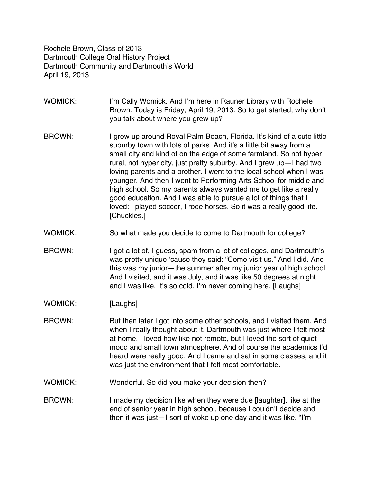Rochele Brown, Class of 2013 Dartmouth College Oral History Project Dartmouth Community and Dartmouth's World April 19, 2013

- WOMICK: I'm Cally Womick. And I'm here in Rauner Library with Rochele Brown. Today is Friday, April 19, 2013. So to get started, why don't you talk about where you grew up?
- BROWN: I grew up around Royal Palm Beach, Florida. It's kind of a cute little suburby town with lots of parks. And it's a little bit away from a small city and kind of on the edge of some farmland. So not hyper rural, not hyper city, just pretty suburby. And I grew up—I had two loving parents and a brother. I went to the local school when I was younger. And then I went to Performing Arts School for middle and high school. So my parents always wanted me to get like a really good education. And I was able to pursue a lot of things that I loved: I played soccer, I rode horses. So it was a really good life. [Chuckles.]
- WOMICK: So what made you decide to come to Dartmouth for college?
- BROWN: I got a lot of, I guess, spam from a lot of colleges, and Dartmouth's was pretty unique 'cause they said: "Come visit us." And I did. And this was my junior—the summer after my junior year of high school. And I visited, and it was July, and it was like 50 degrees at night and I was like, It's so cold. I'm never coming here. [Laughs]
- WOMICK: [Laughs]
- BROWN: But then later I got into some other schools, and I visited them. And when I really thought about it, Dartmouth was just where I felt most at home. I loved how like not remote, but I loved the sort of quiet mood and small town atmosphere. And of course the academics I'd heard were really good. And I came and sat in some classes, and it was just the environment that I felt most comfortable.
- WOMICK: Wonderful. So did you make your decision then?
- BROWN: I made my decision like when they were due [laughter], like at the end of senior year in high school, because I couldn't decide and then it was just—I sort of woke up one day and it was like, "I'm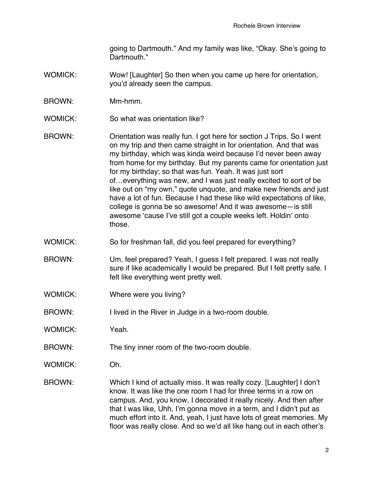going to Dartmouth." And my family was like, "Okay. She's going to Dartmouth."

- WOMICK: Wow! [Laughter] So then when you came up here for orientation, you'd already seen the campus.
- BROWN: Mm-hmm.
- WOMICK: So what was orientation like?
- BROWN: Orientation was really fun. I got here for section J Trips. So I went on my trip and then came straight in for orientation. And that was my birthday, which was kinda weird because I'd never been away from home for my birthday. But my parents came for orientation just for my birthday; so that was fun. Yeah. It was just sort of…everything was new, and I was just really excited to sort of be like out on "my own," quote unquote, and make new friends and just have a lot of fun. Because I had these like wild expectations of like, college is gonna be so awesome! And it was awesome—is still awesome 'cause I've still got a couple weeks left. Holdin' onto those.
- WOMICK: So for freshman fall, did you feel prepared for everything?
- BROWN: Um, feel prepared? Yeah, I guess I felt prepared. I was not really sure if like academically I would be prepared. But I felt pretty safe. I felt like everything went pretty well.
- WOMICK: Where were you living?
- BROWN: I lived in the River in Judge in a two-room double.
- WOMICK: Yeah.
- BROWN: The tiny inner room of the two-room double.
- WOMICK: Oh.
- BROWN: Which I kind of actually miss. It was really cozy. [Laughter] I don't know. It was like the one room I had for three terms in a row on campus. And, you know, I decorated it really nicely. And then after that I was like, Uhh, I'm gonna move in a term, and I didn't put as much effort into it. And, yeah, I just have lots of great memories. My floor was really close. And so we'd all like hang out in each other's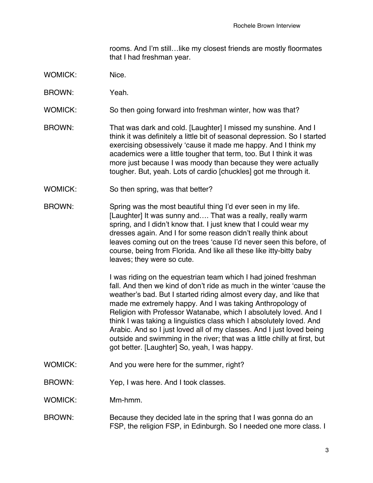rooms. And I'm still…like my closest friends are mostly floormates that I had freshman year.

- WOMICK: Nice.
- BROWN: Yeah.
- WOMICK: So then going forward into freshman winter, how was that?
- BROWN: That was dark and cold. [Laughter] I missed my sunshine. And I think it was definitely a little bit of seasonal depression. So I started exercising obsessively 'cause it made me happy. And I think my academics were a little tougher that term, too. But I think it was more just because I was moody than because they were actually tougher. But, yeah. Lots of cardio [chuckles] got me through it.
- WOMICK: So then spring, was that better?
- BROWN: Spring was the most beautiful thing I'd ever seen in my life. [Laughter] It was sunny and.... That was a really, really warm spring, and I didn't know that. I just knew that I could wear my dresses again. And I for some reason didn't really think about leaves coming out on the trees 'cause I'd never seen this before, of course, being from Florida. And like all these like itty-bitty baby leaves; they were so cute.

I was riding on the equestrian team which I had joined freshman fall. And then we kind of don't ride as much in the winter 'cause the weather's bad. But I started riding almost every day, and like that made me extremely happy. And I was taking Anthropology of Religion with Professor Watanabe, which I absolutely loved. And I think I was taking a linguistics class which I absolutely loved. And Arabic. And so I just loved all of my classes. And I just loved being outside and swimming in the river; that was a little chilly at first, but got better. [Laughter] So, yeah, I was happy.

- WOMICK: And you were here for the summer, right?
- BROWN: Yep, I was here. And I took classes.

WOMICK: Mm-hmm.

#### BROWN: Because they decided late in the spring that I was gonna do an FSP, the religion FSP, in Edinburgh. So I needed one more class. I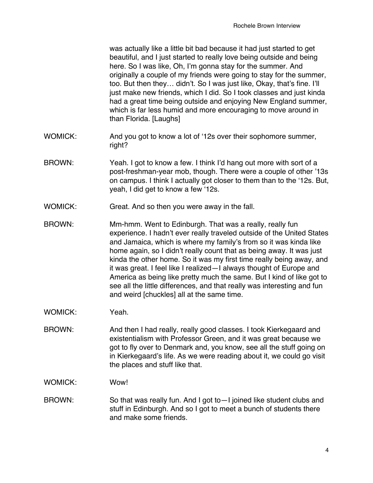was actually like a little bit bad because it had just started to get beautiful, and I just started to really love being outside and being here. So I was like, Oh, I'm gonna stay for the summer. And originally a couple of my friends were going to stay for the summer, too. But then they… didn't. So I was just like, Okay, that's fine. I'll just make new friends, which I did. So I took classes and just kinda had a great time being outside and enjoying New England summer, which is far less humid and more encouraging to move around in than Florida. [Laughs]

- WOMICK: And you got to know a lot of '12s over their sophomore summer, right?
- BROWN: Yeah. I got to know a few. I think I'd hang out more with sort of a post-freshman-year mob, though. There were a couple of other '13s on campus. I think I actually got closer to them than to the '12s. But, yeah, I did get to know a few '12s.
- WOMICK: Great. And so then you were away in the fall.
- BROWN: Mm-hmm. Went to Edinburgh. That was a really, really fun experience. I hadn't ever really traveled outside of the United States and Jamaica, which is where my family's from so it was kinda like home again, so I didn't really count that as being away. It was just kinda the other home. So it was my first time really being away, and it was great. I feel like I realized—I always thought of Europe and America as being like pretty much the same. But I kind of like got to see all the little differences, and that really was interesting and fun and weird [chuckles] all at the same time.
- WOMICK: Yeah.
- BROWN: And then I had really, really good classes. I took Kierkegaard and existentialism with Professor Green, and it was great because we got to fly over to Denmark and, you know, see all the stuff going on in Kierkegaard's life. As we were reading about it, we could go visit the places and stuff like that.
- WOMICK: Wow!
- BROWN: So that was really fun. And I got to—I joined like student clubs and stuff in Edinburgh. And so I got to meet a bunch of students there and make some friends.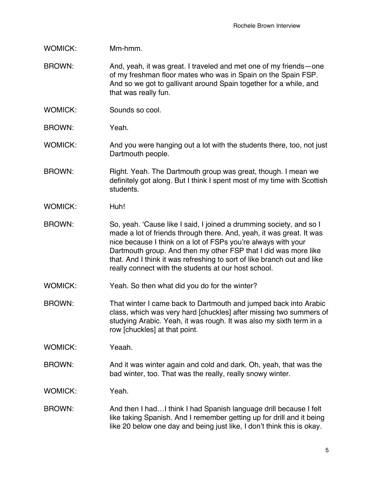# WOMICK: Mm-hmm.

- BROWN: And, yeah, it was great. I traveled and met one of my friends—one of my freshman floor mates who was in Spain on the Spain FSP. And so we got to gallivant around Spain together for a while, and that was really fun.
- WOMICK: Sounds so cool.
- BROWN: Yeah.
- WOMICK: And you were hanging out a lot with the students there, too, not just Dartmouth people.
- BROWN: Right. Yeah. The Dartmouth group was great, though. I mean we definitely got along. But I think I spent most of my time with Scottish students.
- WOMICK: Huh!
- BROWN: So, yeah. 'Cause like I said, I joined a drumming society, and so I made a lot of friends through there. And, yeah, it was great. It was nice because I think on a lot of FSPs you're always with your Dartmouth group. And then my other FSP that I did was more like that. And I think it was refreshing to sort of like branch out and like really connect with the students at our host school.
- WOMICK: Yeah. So then what did you do for the winter?
- BROWN: That winter I came back to Dartmouth and jumped back into Arabic class, which was very hard [chuckles] after missing two summers of studying Arabic. Yeah, it was rough. It was also my sixth term in a row [chuckles] at that point.
- WOMICK: Yeaah.
- BROWN: And it was winter again and cold and dark. Oh, yeah, that was the bad winter, too. That was the really, really snowy winter.

WOMICK: Yeah.

BROWN: And then I had…I think I had Spanish language drill because I felt like taking Spanish. And I remember getting up for drill and it being like 20 below one day and being just like, I don't think this is okay.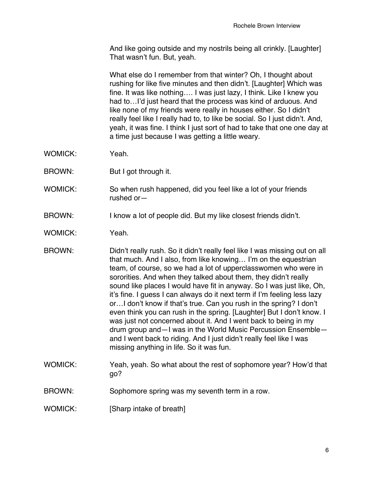And like going outside and my nostrils being all crinkly. [Laughter] That wasn't fun. But, yeah.

What else do I remember from that winter? Oh, I thought about rushing for like five minutes and then didn't. [Laughter] Which was fine. It was like nothing…. I was just lazy, I think. Like I knew you had to...I'd just heard that the process was kind of arduous. And like none of my friends were really in houses either. So I didn't really feel like I really had to, to like be social. So I just didn't. And, yeah, it was fine. I think I just sort of had to take that one one day at a time just because I was getting a little weary.

- WOMICK: Yeah.
- BROWN: But I got through it.
- WOMICK: So when rush happened, did you feel like a lot of your friends rushed or—
- BROWN: I know a lot of people did. But my like closest friends didn't.
- WOMICK: Yeah.
- BROWN: Didn't really rush. So it didn't really feel like I was missing out on all that much. And I also, from like knowing… I'm on the equestrian team, of course, so we had a lot of upperclasswomen who were in sororities. And when they talked about them, they didn't really sound like places I would have fit in anyway. So I was just like, Oh, it's fine. I guess I can always do it next term if I'm feeling less lazy or…I don't know if that's true. Can you rush in the spring? I don't even think you can rush in the spring. [Laughter] But I don't know. I was just not concerned about it. And I went back to being in my drum group and—I was in the World Music Percussion Ensemble and I went back to riding. And I just didn't really feel like I was missing anything in life. So it was fun.
- WOMICK: Yeah, yeah. So what about the rest of sophomore year? How'd that go?
- BROWN: Sophomore spring was my seventh term in a row.
- WOMICK: [Sharp intake of breath]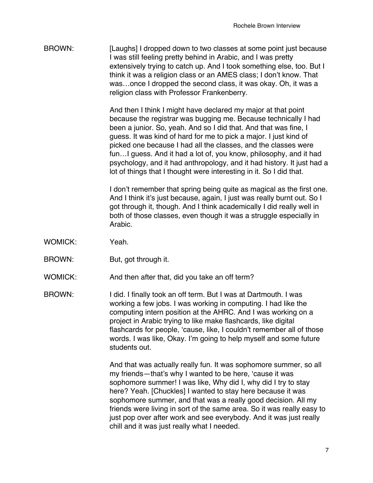BROWN: [Laughs] I dropped down to two classes at some point just because I was still feeling pretty behind in Arabic, and I was pretty extensively trying to catch up. And I took something else, too. But I think it was a religion class or an AMES class; I don't know. That was…once I dropped the second class, it was okay. Oh, it was a religion class with Professor Frankenberry.

> And then I think I might have declared my major at that point because the registrar was bugging me. Because technically I had been a junior. So, yeah. And so I did that. And that was fine, I guess. It was kind of hard for me to pick a major. I just kind of picked one because I had all the classes, and the classes were fun…I guess. And it had a lot of, you know, philosophy, and it had psychology, and it had anthropology, and it had history. It just had a lot of things that I thought were interesting in it. So I did that.

> I don't remember that spring being quite as magical as the first one. And I think it's just because, again, I just was really burnt out. So I got through it, though. And I think academically I did really well in both of those classes, even though it was a struggle especially in Arabic.

- WOMICK: Yeah
- BROWN: But, got through it.
- WOMICK: And then after that, did you take an off term?
- BROWN: I did. I finally took an off term. But I was at Dartmouth. I was working a few jobs. I was working in computing. I had like the computing intern position at the AHRC. And I was working on a project in Arabic trying to like make flashcards, like digital flashcards for people, 'cause, like, I couldn't remember all of those words. I was like, Okay. I'm going to help myself and some future students out.

And that was actually really fun. It was sophomore summer, so all my friends—that's why I wanted to be here, 'cause it was sophomore summer! I was like, Why did I, why did I try to stay here? Yeah. [Chuckles] I wanted to stay here because it was sophomore summer, and that was a really good decision. All my friends were living in sort of the same area. So it was really easy to just pop over after work and see everybody. And it was just really chill and it was just really what I needed.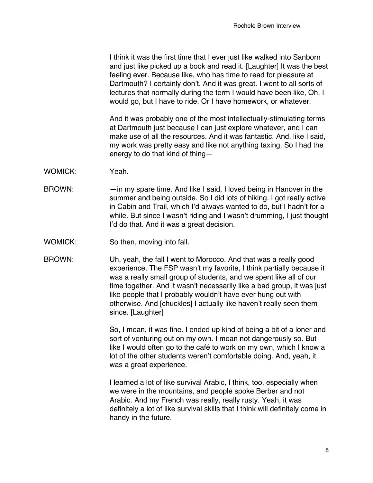I think it was the first time that I ever just like walked into Sanborn and just like picked up a book and read it. [Laughter] It was the best feeling ever. Because like, who has time to read for pleasure at Dartmouth? I certainly don't. And it was great. I went to all sorts of lectures that normally during the term I would have been like, Oh, I would go, but I have to ride. Or I have homework, or whatever.

And it was probably one of the most intellectually-stimulating terms at Dartmouth just because I can just explore whatever, and I can make use of all the resources. And it was fantastic. And, like I said, my work was pretty easy and like not anything taxing. So I had the energy to do that kind of thing—

- WOMICK: Yeah.
- BROWN: in my spare time. And like I said, I loved being in Hanover in the summer and being outside. So I did lots of hiking. I got really active in Cabin and Trail, which I'd always wanted to do, but I hadn't for a while. But since I wasn't riding and I wasn't drumming, I just thought I'd do that. And it was a great decision.
- WOMICK: So then, moving into fall.
- BROWN: Uh, yeah, the fall I went to Morocco. And that was a really good experience. The FSP wasn't my favorite, I think partially because it was a really small group of students, and we spent like all of our time together. And it wasn't necessarily like a bad group, it was just like people that I probably wouldn't have ever hung out with otherwise. And [chuckles] I actually like haven't really seen them since. [Laughter]

So, I mean, it was fine. I ended up kind of being a bit of a loner and sort of venturing out on my own. I mean not dangerously so. But like I would often go to the café to work on my own, which I know a lot of the other students weren't comfortable doing. And, yeah, it was a great experience.

I learned a lot of like survival Arabic, I think, too, especially when we were in the mountains, and people spoke Berber and not Arabic. And my French was really, really rusty. Yeah, it was definitely a lot of like survival skills that I think will definitely come in handy in the future.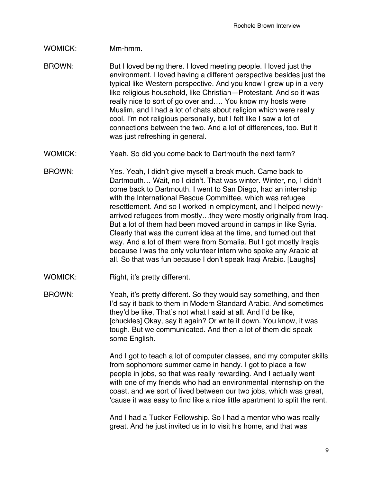# WOMICK: Mm-hmm.

- BROWN: But I loved being there. I loved meeting people. I loved just the environment. I loved having a different perspective besides just the typical like Western perspective. And you know I grew up in a very like religious household, like Christian—Protestant. And so it was really nice to sort of go over and.... You know my hosts were Muslim, and I had a lot of chats about religion which were really cool. I'm not religious personally, but I felt like I saw a lot of connections between the two. And a lot of differences, too. But it was just refreshing in general.
- WOMICK: Yeah. So did you come back to Dartmouth the next term?
- BROWN: Yes. Yeah, I didn't give myself a break much. Came back to Dartmouth… Wait, no I didn't. That was winter. Winter, no, I didn't come back to Dartmouth. I went to San Diego, had an internship with the International Rescue Committee, which was refugee resettlement. And so I worked in employment, and I helped newlyarrived refugees from mostly…they were mostly originally from Iraq. But a lot of them had been moved around in camps in like Syria. Clearly that was the current idea at the time, and turned out that way. And a lot of them were from Somalia. But I got mostly Iragis because I was the only volunteer intern who spoke any Arabic at all. So that was fun because I don't speak Iraqi Arabic. [Laughs]
- WOMICK: Right, it's pretty different.
- BROWN: Yeah, it's pretty different. So they would say something, and then I'd say it back to them in Modern Standard Arabic. And sometimes they'd be like, That's not what I said at all. And I'd be like, [chuckles] Okay, say it again? Or write it down. You know, it was tough. But we communicated. And then a lot of them did speak some English.

And I got to teach a lot of computer classes, and my computer skills from sophomore summer came in handy. I got to place a few people in jobs, so that was really rewarding. And I actually went with one of my friends who had an environmental internship on the coast, and we sort of lived between our two jobs, which was great, 'cause it was easy to find like a nice little apartment to split the rent.

And I had a Tucker Fellowship. So I had a mentor who was really great. And he just invited us in to visit his home, and that was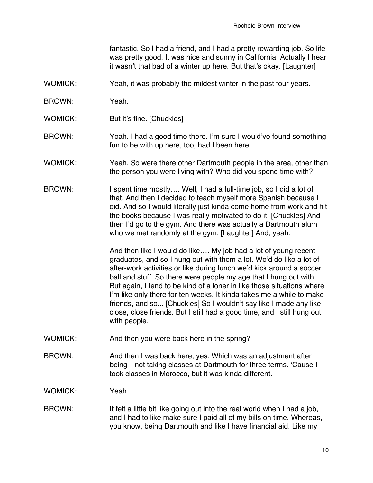fantastic. So I had a friend, and I had a pretty rewarding job. So life was pretty good. It was nice and sunny in California. Actually I hear it wasn't that bad of a winter up here. But that's okay. [Laughter]

- WOMICK: Yeah, it was probably the mildest winter in the past four years.
- BROWN: Yeah.
- WOMICK: But it's fine. [Chuckles]
- BROWN: Yeah. I had a good time there. I'm sure I would've found something fun to be with up here, too, had I been here.
- WOMICK: Yeah. So were there other Dartmouth people in the area, other than the person you were living with? Who did you spend time with?
- BROWN: I spent time mostly.... Well, I had a full-time job, so I did a lot of that. And then I decided to teach myself more Spanish because I did. And so I would literally just kinda come home from work and hit the books because I was really motivated to do it. [Chuckles] And then I'd go to the gym. And there was actually a Dartmouth alum who we met randomly at the gym. [Laughter] And, yeah.

And then like I would do like…. My job had a lot of young recent graduates, and so I hung out with them a lot. We'd do like a lot of after-work activities or like during lunch we'd kick around a soccer ball and stuff. So there were people my age that I hung out with. But again, I tend to be kind of a loner in like those situations where I'm like only there for ten weeks. It kinda takes me a while to make friends, and so... [Chuckles] So I wouldn't say like I made any like close, close friends. But I still had a good time, and I still hung out with people.

- WOMICK: And then you were back here in the spring?
- BROWN: And then I was back here, yes. Which was an adjustment after being—not taking classes at Dartmouth for three terms. 'Cause I took classes in Morocco, but it was kinda different.

WOMICK: Yeah.

BROWN: It felt a little bit like going out into the real world when I had a job, and I had to like make sure I paid all of my bills on time. Whereas, you know, being Dartmouth and like I have financial aid. Like my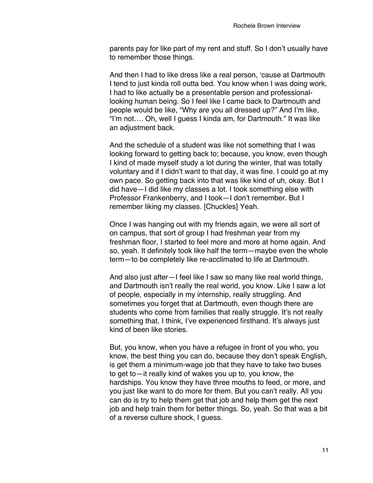parents pay for like part of my rent and stuff. So I don't usually have to remember those things.

And then I had to like dress like a real person, 'cause at Dartmouth I tend to just kinda roll outta bed. You know when I was doing work, I had to like actually be a presentable person and professionallooking human being. So I feel like I came back to Dartmouth and people would be like, "Why are you all dressed up?" And I'm like, "I'm not…. Oh, well I guess I kinda am, for Dartmouth." It was like an adjustment back.

And the schedule of a student was like not something that I was looking forward to getting back to; because, you know, even though I kind of made myself study a lot during the winter, that was totally voluntary and if I didn't want to that day, it was fine. I could go at my own pace. So getting back into that was like kind of uh, okay. But I did have—I did like my classes a lot. I took something else with Professor Frankenberry, and I took—I don't remember. But I remember liking my classes. [Chuckles] Yeah.

Once I was hanging out with my friends again, we were all sort of on campus, that sort of group I had freshman year from my freshman floor, I started to feel more and more at home again. And so, yeah. It definitely took like half the term—maybe even the whole term—to be completely like re-acclimated to life at Dartmouth.

And also just after—I feel like I saw so many like real world things, and Dartmouth isn't really the real world, you know. Like I saw a lot of people, especially in my internship, really struggling. And sometimes you forget that at Dartmouth, even though there are students who come from families that really struggle. It's not really something that, I think, I've experienced firsthand. It's always just kind of been like stories.

But, you know, when you have a refugee in front of you who, you know, the best thing you can do, because they don't speak English, is get them a minimum-wage job that they have to take two buses to get to—it really kind of wakes you up to, you know, the hardships. You know they have three mouths to feed, or more, and you just like want to do more for them. But you can't really. All you can do is try to help them get that job and help them get the next job and help train them for better things. So, yeah. So that was a bit of a reverse culture shock, I guess.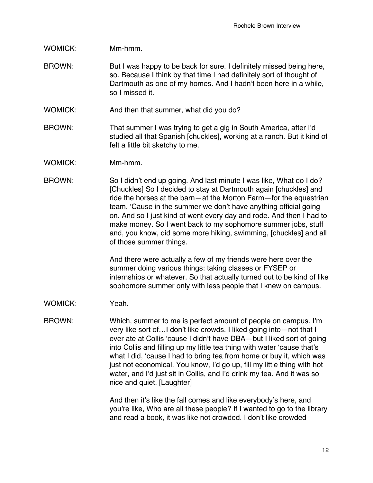# WOMICK: Mm-hmm.

- BROWN: But I was happy to be back for sure. I definitely missed being here, so. Because I think by that time I had definitely sort of thought of Dartmouth as one of my homes. And I hadn't been here in a while, so I missed it.
- WOMICK: And then that summer, what did you do?
- BROWN: That summer I was trying to get a gig in South America, after I'd studied all that Spanish [chuckles], working at a ranch. But it kind of felt a little bit sketchy to me.
- WOMICK: Mm-hmm.
- BROWN: So I didn't end up going. And last minute I was like, What do I do? [Chuckles] So I decided to stay at Dartmouth again [chuckles] and ride the horses at the barn—at the Morton Farm—for the equestrian team. 'Cause in the summer we don't have anything official going on. And so I just kind of went every day and rode. And then I had to make money. So I went back to my sophomore summer jobs, stuff and, you know, did some more hiking, swimming, [chuckles] and all of those summer things.

And there were actually a few of my friends were here over the summer doing various things: taking classes or FYSEP or internships or whatever. So that actually turned out to be kind of like sophomore summer only with less people that I knew on campus.

- WOMICK: Yeah.
- BROWN: Which, summer to me is perfect amount of people on campus. I'm very like sort of…I don't like crowds. I liked going into—not that I ever ate at Collis 'cause I didn't have DBA—but I liked sort of going into Collis and filling up my little tea thing with water 'cause that's what I did, 'cause I had to bring tea from home or buy it, which was just not economical. You know, I'd go up, fill my little thing with hot water, and I'd just sit in Collis, and I'd drink my tea. And it was so nice and quiet. [Laughter]

And then it's like the fall comes and like everybody's here, and you're like, Who are all these people? If I wanted to go to the library and read a book, it was like not crowded. I don't like crowded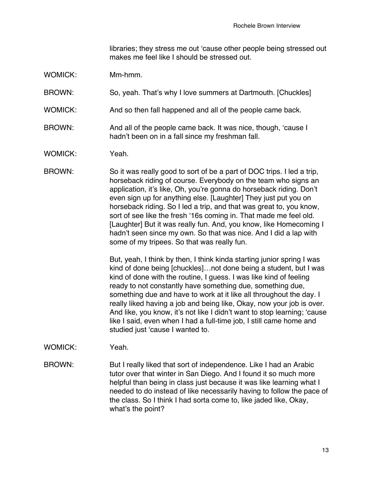libraries; they stress me out 'cause other people being stressed out makes me feel like I should be stressed out.

- WOMICK: Mm-hmm.
- BROWN: So, yeah. That's why I love summers at Dartmouth. [Chuckles]
- WOMICK: And so then fall happened and all of the people came back.
- BROWN: And all of the people came back. It was nice, though, 'cause I hadn't been on in a fall since my freshman fall.
- WOMICK: Yeah.
- BROWN: So it was really good to sort of be a part of DOC trips. I led a trip, horseback riding of course. Everybody on the team who signs an application, it's like, Oh, you're gonna do horseback riding. Don't even sign up for anything else. [Laughter] They just put you on horseback riding. So I led a trip, and that was great to, you know, sort of see like the fresh '16s coming in. That made me feel old. [Laughter] But it was really fun. And, you know, like Homecoming I hadn't seen since my own. So that was nice. And I did a lap with some of my tripees. So that was really fun.

But, yeah, I think by then, I think kinda starting junior spring I was kind of done being [chuckles]…not done being a student, but I was kind of done with the routine, I guess. I was like kind of feeling ready to not constantly have something due, something due, something due and have to work at it like all throughout the day. I really liked having a job and being like, Okay, now your job is over. And like, you know, it's not like I didn't want to stop learning; 'cause like I said, even when I had a full-time job, I still came home and studied just 'cause I wanted to.

- WOMICK: Yeah.
- BROWN: But I really liked that sort of independence. Like I had an Arabic tutor over that winter in San Diego. And I found it so much more helpful than being in class just because it was like learning what I needed to do instead of like necessarily having to follow the pace of the class. So I think I had sorta come to, like jaded like, Okay, what's the point?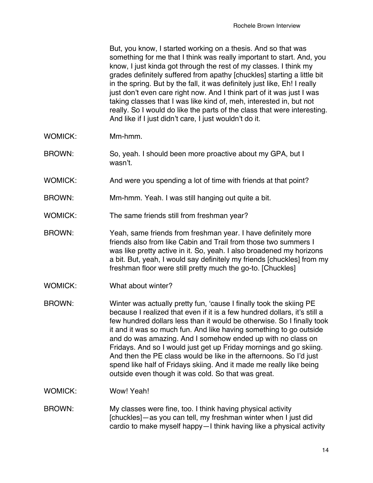But, you know, I started working on a thesis. And so that was something for me that I think was really important to start. And, you know, I just kinda got through the rest of my classes. I think my grades definitely suffered from apathy [chuckles] starting a little bit in the spring. But by the fall, it was definitely just like, Eh! I really just don't even care right now. And I think part of it was just I was taking classes that I was like kind of, meh, interested in, but not really. So I would do like the parts of the class that were interesting. And like if I just didn't care, I just wouldn't do it.

- WOMICK: Mm-hmm.
- BROWN: So, yeah. I should been more proactive about my GPA, but I wasn't.
- WOMICK: And were you spending a lot of time with friends at that point?
- BROWN: Mm-hmm. Yeah. I was still hanging out quite a bit.
- WOMICK: The same friends still from freshman year?
- BROWN: Yeah, same friends from freshman year. I have definitely more friends also from like Cabin and Trail from those two summers I was like pretty active in it. So, yeah. I also broadened my horizons a bit. But, yeah, I would say definitely my friends [chuckles] from my freshman floor were still pretty much the go-to. [Chuckles]
- WOMICK: What about winter?
- BROWN: Winter was actually pretty fun, 'cause I finally took the skiing PE because I realized that even if it is a few hundred dollars, it's still a few hundred dollars less than it would be otherwise. So I finally took it and it was so much fun. And like having something to go outside and do was amazing. And I somehow ended up with no class on Fridays. And so I would just get up Friday mornings and go skiing. And then the PE class would be like in the afternoons. So I'd just spend like half of Fridays skiing. And it made me really like being outside even though it was cold. So that was great.
- WOMICK: Wow! Yeah!
- BROWN: My classes were fine, too. I think having physical activity [chuckles]—as you can tell, my freshman winter when I just did cardio to make myself happy—I think having like a physical activity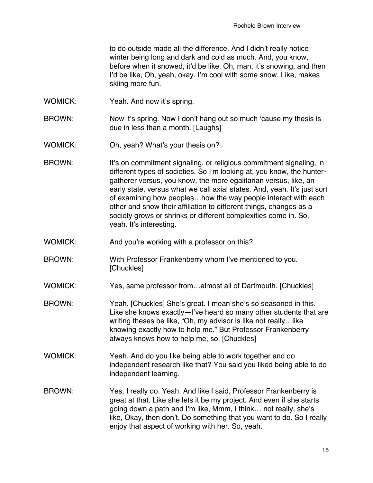to do outside made all the difference. And I didn't really notice winter being long and dark and cold as much. And, you know, before when it snowed, it'd be like, Oh, man, it's snowing, and then I'd be like, Oh, yeah, okay. I'm cool with some snow. Like, makes skiing more fun.

- WOMICK: Yeah. And now it's spring.
- BROWN: Now it's spring. Now I don't hang out so much 'cause my thesis is due in less than a month. [Laughs]
- WOMICK: Oh, yeah? What's your thesis on?
- BROWN: It's on commitment signaling, or religious commitment signaling, in different types of societies. So I'm looking at, you know, the huntergatherer versus, you know, the more egalitarian versus, like, an early state, versus what we call axial states. And, yeah. It's just sort of examining how peoples…how the way people interact with each other and show their affiliation to different things, changes as a society grows or shrinks or different complexities come in. So, yeah. It's interesting.
- WOMICK: And you're working with a professor on this?
- BROWN: With Professor Frankenberry whom I've mentioned to you. [Chuckles]
- WOMICK: Yes, same professor from...almost all of Dartmouth. [Chuckles]
- BROWN: Yeah. [Chuckles] She's great. I mean she's so seasoned in this. Like she knows exactly—I've heard so many other students that are writing theses be like, "Oh, my advisor is like not really…like knowing exactly how to help me." But Professor Frankenberry always knows how to help me, so. [Chuckles]
- WOMICK: Yeah. And do you like being able to work together and do independent research like that? You said you liked being able to do independent learning.
- BROWN: Yes, I really do. Yeah. And like I said, Professor Frankenberry is great at that. Like she lets it be my project. And even if she starts going down a path and I'm like, Mmm, I think… not really, she's like, Okay, then don't. Do something that you want to do. So I really enjoy that aspect of working with her. So, yeah.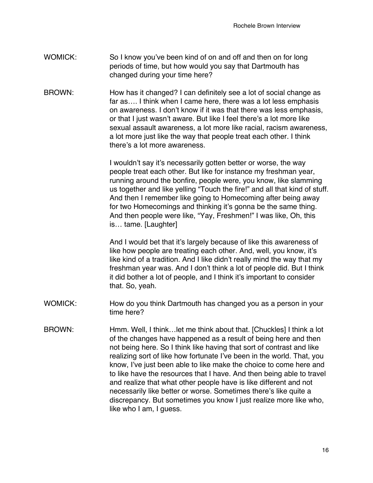- WOMICK: So I know you've been kind of on and off and then on for long periods of time, but how would you say that Dartmouth has changed during your time here?
- BROWN: How has it changed? I can definitely see a lot of social change as far as…. I think when I came here, there was a lot less emphasis on awareness. I don't know if it was that there was less emphasis, or that I just wasn't aware. But like I feel there's a lot more like sexual assault awareness, a lot more like racial, racism awareness, a lot more just like the way that people treat each other. I think there's a lot more awareness.

I wouldn't say it's necessarily gotten better or worse, the way people treat each other. But like for instance my freshman year, running around the bonfire, people were, you know, like slamming us together and like yelling "Touch the fire!" and all that kind of stuff. And then I remember like going to Homecoming after being away for two Homecomings and thinking it's gonna be the same thing. And then people were like, "Yay, Freshmen!" I was like, Oh, this is… tame. [Laughter]

And I would bet that it's largely because of like this awareness of like how people are treating each other. And, well, you know, it's like kind of a tradition. And I like didn't really mind the way that my freshman year was. And I don't think a lot of people did. But I think it did bother a lot of people, and I think it's important to consider that. So, yeah.

- WOMICK: How do you think Dartmouth has changed you as a person in your time here?
- BROWN: Hmm. Well, I think…let me think about that. [Chuckles] I think a lot of the changes have happened as a result of being here and then not being here. So I think like having that sort of contrast and like realizing sort of like how fortunate I've been in the world. That, you know, I've just been able to like make the choice to come here and to like have the resources that I have. And then being able to travel and realize that what other people have is like different and not necessarily like better or worse. Sometimes there's like quite a discrepancy. But sometimes you know I just realize more like who, like who I am, I guess.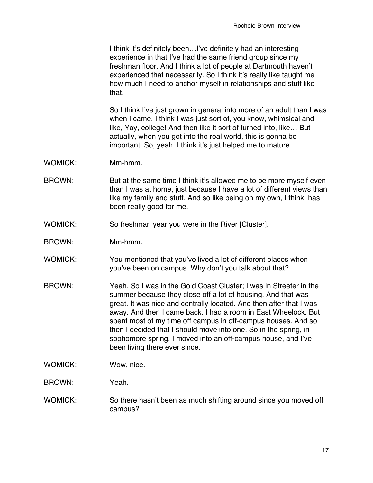I think it's definitely been…I've definitely had an interesting experience in that I've had the same friend group since my freshman floor. And I think a lot of people at Dartmouth haven't experienced that necessarily. So I think it's really like taught me how much I need to anchor myself in relationships and stuff like that.

So I think I've just grown in general into more of an adult than I was when I came. I think I was just sort of, you know, whimsical and like, Yay, college! And then like it sort of turned into, like… But actually, when you get into the real world, this is gonna be important. So, yeah. I think it's just helped me to mature.

- WOMICK: Mm-hmm.
- BROWN: But at the same time I think it's allowed me to be more myself even than I was at home, just because I have a lot of different views than like my family and stuff. And so like being on my own, I think, has been really good for me.
- WOMICK: So freshman year you were in the River [Cluster].
- BROWN: Mm-hmm.
- WOMICK: You mentioned that you've lived a lot of different places when you've been on campus. Why don't you talk about that?
- BROWN: Yeah. So I was in the Gold Coast Cluster; I was in Streeter in the summer because they close off a lot of housing. And that was great. It was nice and centrally located. And then after that I was away. And then I came back. I had a room in East Wheelock. But I spent most of my time off campus in off-campus houses. And so then I decided that I should move into one. So in the spring, in sophomore spring, I moved into an off-campus house, and I've been living there ever since.
- WOMICK: Wow, nice.
- BROWN: Yeah.
- WOMICK: So there hasn't been as much shifting around since you moved off campus?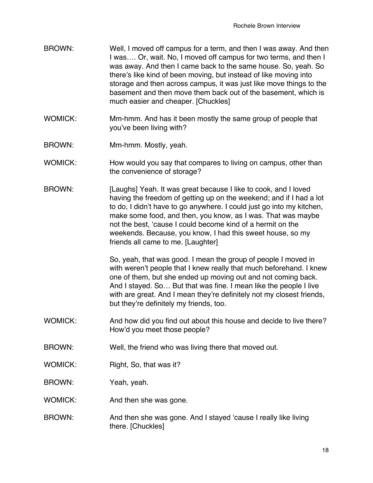- BROWN: Well, I moved off campus for a term, and then I was away. And then I was…. Or, wait. No, I moved off campus for two terms, and then I was away. And then I came back to the same house. So, yeah. So there's like kind of been moving, but instead of like moving into storage and then across campus, it was just like move things to the basement and then move them back out of the basement, which is much easier and cheaper. [Chuckles]
- WOMICK: Mm-hmm. And has it been mostly the same group of people that you've been living with?
- BROWN: Mm-hmm. Mostly, yeah.
- WOMICK: How would you say that compares to living on campus, other than the convenience of storage?
- BROWN: [Laughs] Yeah. It was great because I like to cook, and I loved having the freedom of getting up on the weekend; and if I had a lot to do, I didn't have to go anywhere. I could just go into my kitchen, make some food, and then, you know, as I was. That was maybe not the best, 'cause I could become kind of a hermit on the weekends. Because, you know, I had this sweet house, so my friends all came to me. [Laughter]

So, yeah, that was good. I mean the group of people I moved in with weren't people that I knew really that much beforehand. I knew one of them, but she ended up moving out and not coming back. And I stayed. So… But that was fine. I mean like the people I live with are great. And I mean they're definitely not my closest friends, but they're definitely my friends, too.

- WOMICK: And how did you find out about this house and decide to live there? How'd you meet those people?
- BROWN: Well, the friend who was living there that moved out.
- WOMICK: Right, So, that was it?
- BROWN: Yeah, yeah.
- WOMICK: And then she was gone.
- BROWN: And then she was gone. And I stayed 'cause I really like living there. [Chuckles]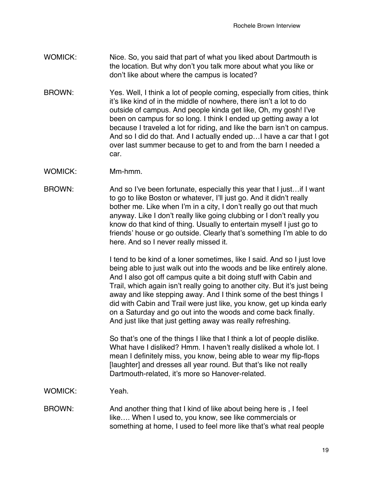- WOMICK: Nice. So, you said that part of what you liked about Dartmouth is the location. But why don't you talk more about what you like or don't like about where the campus is located?
- BROWN: Yes. Well, I think a lot of people coming, especially from cities, think it's like kind of in the middle of nowhere, there isn't a lot to do outside of campus. And people kinda get like, Oh, my gosh! I've been on campus for so long. I think I ended up getting away a lot because I traveled a lot for riding, and like the barn isn't on campus. And so I did do that. And I actually ended up…I have a car that I got over last summer because to get to and from the barn I needed a car.
- WOMICK: Mm-hmm.
- BROWN: And so I've been fortunate, especially this year that I just…if I want to go to like Boston or whatever, I'll just go. And it didn't really bother me. Like when I'm in a city, I don't really go out that much anyway. Like I don't really like going clubbing or I don't really you know do that kind of thing. Usually to entertain myself I just go to friends' house or go outside. Clearly that's something I'm able to do here. And so I never really missed it.

I tend to be kind of a loner sometimes, like I said. And so I just love being able to just walk out into the woods and be like entirely alone. And I also got off campus quite a bit doing stuff with Cabin and Trail, which again isn't really going to another city. But it's just being away and like stepping away. And I think some of the best things I did with Cabin and Trail were just like, you know, get up kinda early on a Saturday and go out into the woods and come back finally. And just like that just getting away was really refreshing.

So that's one of the things I like that I think a lot of people dislike. What have I disliked? Hmm. I haven't really disliked a whole lot. I mean I definitely miss, you know, being able to wear my flip-flops [laughter] and dresses all year round. But that's like not really Dartmouth-related, it's more so Hanover-related.

WOMICK: Yeah.

BROWN: And another thing that I kind of like about being here is , I feel like…. When I used to, you know, see like commercials or something at home, I used to feel more like that's what real people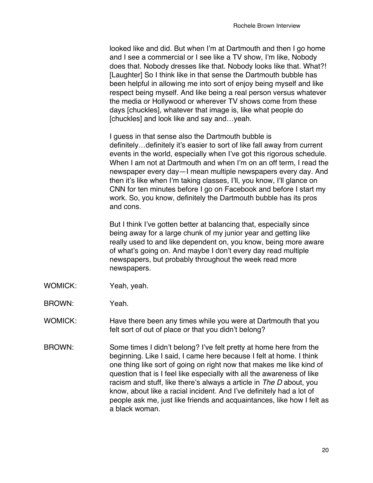looked like and did. But when I'm at Dartmouth and then I go home and I see a commercial or I see like a TV show, I'm like, Nobody does that. Nobody dresses like that. Nobody looks like that. What?! [Laughter] So I think like in that sense the Dartmouth bubble has been helpful in allowing me into sort of enjoy being myself and like respect being myself. And like being a real person versus whatever the media or Hollywood or wherever TV shows come from these days [chuckles], whatever that image is, like what people do [chuckles] and look like and say and…yeah.

I guess in that sense also the Dartmouth bubble is definitely…definitely it's easier to sort of like fall away from current events in the world, especially when I've got this rigorous schedule. When I am not at Dartmouth and when I'm on an off term, I read the newspaper every day—I mean multiple newspapers every day. And then it's like when I'm taking classes, I'll, you know, I'll glance on CNN for ten minutes before I go on Facebook and before I start my work. So, you know, definitely the Dartmouth bubble has its pros and cons.

But I think I've gotten better at balancing that, especially since being away for a large chunk of my junior year and getting like really used to and like dependent on, you know, being more aware of what's going on. And maybe I don't every day read multiple newspapers, but probably throughout the week read more newspapers.

- WOMICK: Yeah, yeah.
- BROWN: Yeah.
- WOMICK: Have there been any times while you were at Dartmouth that you felt sort of out of place or that you didn't belong?
- BROWN: Some times I didn't belong? I've felt pretty at home here from the beginning. Like I said, I came here because I felt at home. I think one thing like sort of going on right now that makes me like kind of question that is I feel like especially with all the awareness of like racism and stuff, like there's always a article in *The D* about, you know, about like a racial incident. And I've definitely had a lot of people ask me, just like friends and acquaintances, like how I felt as a black woman.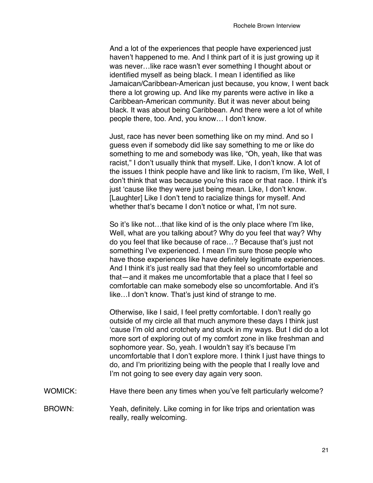And a lot of the experiences that people have experienced just haven't happened to me. And I think part of it is just growing up it was never…like race wasn't ever something I thought about or identified myself as being black. I mean I identified as like Jamaican/Caribbean-American just because, you know, I went back there a lot growing up. And like my parents were active in like a Caribbean-American community. But it was never about being black. It was about being Caribbean. And there were a lot of white people there, too. And, you know… I don't know.

Just, race has never been something like on my mind. And so I guess even if somebody did like say something to me or like do something to me and somebody was like, "Oh, yeah, like that was racist," I don't usually think that myself. Like, I don't know. A lot of the issues I think people have and like link to racism, I'm like, Well, I don't think that was because you're this race or that race. I think it's just 'cause like they were just being mean. Like, I don't know. [Laughter] Like I don't tend to racialize things for myself. And whether that's became I don't notice or what, I'm not sure.

So it's like not…that like kind of is the only place where I'm like, Well, what are you talking about? Why do you feel that way? Why do you feel that like because of race…? Because that's just not something I've experienced. I mean I'm sure those people who have those experiences like have definitely legitimate experiences. And I think it's just really sad that they feel so uncomfortable and that—and it makes me uncomfortable that a place that I feel so comfortable can make somebody else so uncomfortable. And it's like…I don't know. That's just kind of strange to me.

Otherwise, like I said, I feel pretty comfortable. I don't really go outside of my circle all that much anymore these days I think just 'cause I'm old and crotchety and stuck in my ways. But I did do a lot more sort of exploring out of my comfort zone in like freshman and sophomore year. So, yeah. I wouldn't say it's because I'm uncomfortable that I don't explore more. I think I just have things to do, and I'm prioritizing being with the people that I really love and I'm not going to see every day again very soon.

- WOMICK: Have there been any times when you've felt particularly welcome?
- BROWN: Yeah, definitely. Like coming in for like trips and orientation was really, really welcoming.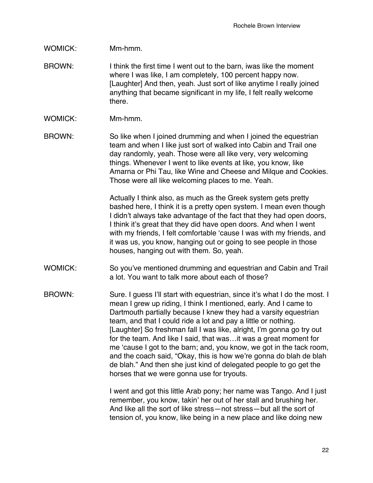## WOMICK: Mm-hmm.

- BROWN: I think the first time I went out to the barn, iwas like the moment where I was like, I am completely, 100 percent happy now. [Laughter] And then, yeah. Just sort of like anytime I really joined anything that became significant in my life, I felt really welcome there.
- WOMICK: Mm-hmm.
- BROWN: So like when I joined drumming and when I joined the equestrian team and when I like just sort of walked into Cabin and Trail one day randomly, yeah. Those were all like very, very welcoming things. Whenever I went to like events at like, you know, like Amarna or Phi Tau, like Wine and Cheese and Milque and Cookies. Those were all like welcoming places to me. Yeah.

Actually I think also, as much as the Greek system gets pretty bashed here, I think it is a pretty open system. I mean even though I didn't always take advantage of the fact that they had open doors, I think it's great that they did have open doors. And when I went with my friends, I felt comfortable 'cause I was with my friends, and it was us, you know, hanging out or going to see people in those houses, hanging out with them. So, yeah.

- WOMICK: So you've mentioned drumming and equestrian and Cabin and Trail a lot. You want to talk more about each of those?
- BROWN: Sure. I guess I'll start with equestrian, since it's what I do the most. I mean I grew up riding, I think I mentioned, early. And I came to Dartmouth partially because I knew they had a varsity equestrian team, and that I could ride a lot and pay a little or nothing. [Laughter] So freshman fall I was like, alright, I'm gonna go try out for the team. And like I said, that was…it was a great moment for me 'cause I got to the barn; and, you know, we got in the tack room, and the coach said, "Okay, this is how we're gonna do blah de blah de blah." And then she just kind of delegated people to go get the horses that we were gonna use for tryouts.

I went and got this little Arab pony; her name was Tango. And I just remember, you know, takin' her out of her stall and brushing her. And like all the sort of like stress—not stress—but all the sort of tension of, you know, like being in a new place and like doing new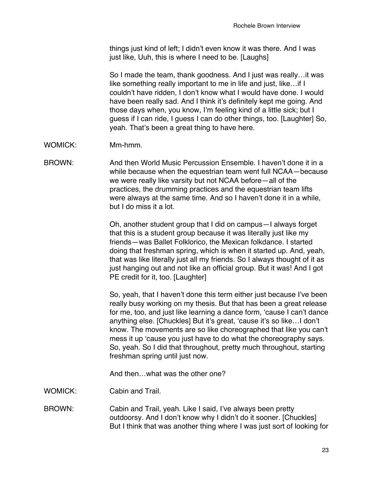things just kind of left; I didn't even know it was there. And I was just like, Uuh, this is where I need to be. [Laughs]

So I made the team, thank goodness. And I just was really…it was like something really important to me in life and just, like…if I couldn't have ridden, I don't know what I would have done. I would have been really sad. And I think it's definitely kept me going. And those days when, you know, I'm feeling kind of a little sick; but I guess if I can ride, I guess I can do other things, too. [Laughter] So, yeah. That's been a great thing to have here.

- WOMICK: Mm-hmm.
- BROWN: And then World Music Percussion Ensemble. I haven't done it in a while because when the equestrian team went full NCAA—because we were really like varsity but not NCAA before—all of the practices, the drumming practices and the equestrian team lifts were always at the same time. And so I haven't done it in a while, but I do miss it a lot.

Oh, another student group that I did on campus—I always forget that this is a student group because it was literally just like my friends—was Ballet Folklorico, the Mexican folkdance. I started doing that freshman spring, which is when it started up. And, yeah, that was like literally just all my friends. So I always thought of it as just hanging out and not like an official group. But it was! And I got PE credit for it, too. [Laughter]

So, yeah, that I haven't done this term either just because I've been really busy working on my thesis. But that has been a great release for me, too, and just like learning a dance form, 'cause I can't dance anything else. [Chuckles] But it's great, 'cause it's so like…I don't know. The movements are so like choreographed that like you can't mess it up 'cause you just have to do what the choreography says. So, yeah. So I did that throughout, pretty much throughout, starting freshman spring until just now.

And then what was the other one?

WOMICK: Cabin and Trail.

BROWN: Cabin and Trail, yeah. Like I said, I've always been pretty outdoorsy. And I don't know why I didn't do it sooner. [Chuckles] But I think that was another thing where I was just sort of looking for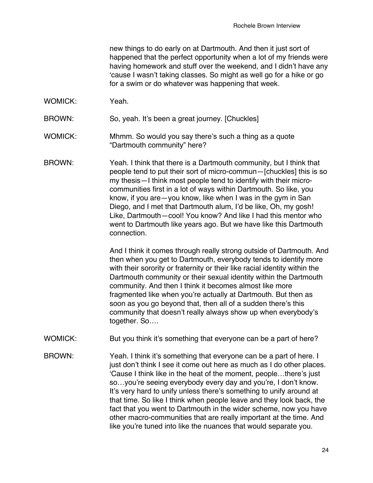new things to do early on at Dartmouth. And then it just sort of happened that the perfect opportunity when a lot of my friends were having homework and stuff over the weekend, and I didn't have any 'cause I wasn't taking classes. So might as well go for a hike or go for a swim or do whatever was happening that week.

WOMICK: Yeah.

BROWN: So, yeah. It's been a great journey. [Chuckles]

- WOMICK: Mhmm. So would you say there's such a thing as a quote "Dartmouth community" here?
- BROWN: Yeah. I think that there is a Dartmouth community, but I think that people tend to put their sort of micro-commun—[chuckles] this is so my thesis—I think most people tend to identify with their microcommunities first in a lot of ways within Dartmouth. So like, you know, if you are—you know, like when I was in the gym in San Diego, and I met that Dartmouth alum, I'd be like, Oh, my gosh! Like, Dartmouth—cool! You know? And like I had this mentor who went to Dartmouth like years ago. But we have like this Dartmouth connection.

And I think it comes through really strong outside of Dartmouth. And then when you get to Dartmouth, everybody tends to identify more with their sorority or fraternity or their like racial identity within the Dartmouth community or their sexual identity within the Dartmouth community. And then I think it becomes almost like more fragmented like when you're actually at Dartmouth. But then as soon as you go beyond that, then all of a sudden there's this community that doesn't really always show up when everybody's together. So….

- WOMICK: But you think it's something that everyone can be a part of here?
- BROWN: Yeah. I think it's something that everyone can be a part of here. I just don't think I see it come out here as much as I do other places. 'Cause I think like in the heat of the moment, people…there's just so…you're seeing everybody every day and you're, I don't know. It's very hard to unify unless there's something to unify around at that time. So like I think when people leave and they look back, the fact that you went to Dartmouth in the wider scheme, now you have other macro-communities that are really important at the time. And like you're tuned into like the nuances that would separate you.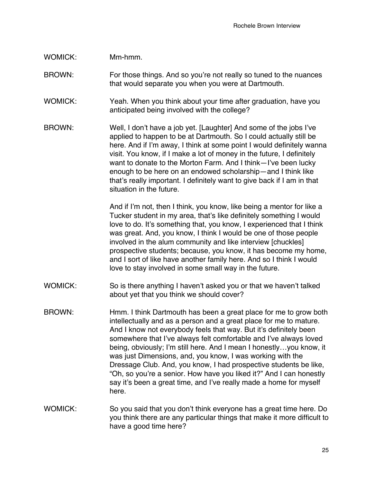#### WOMICK: Mm-hmm.

- BROWN: For those things. And so you're not really so tuned to the nuances that would separate you when you were at Dartmouth.
- WOMICK: Yeah. When you think about your time after graduation, have you anticipated being involved with the college?
- BROWN: Well, I don't have a job yet. [Laughter] And some of the jobs I've applied to happen to be at Dartmouth. So I could actually still be here. And if I'm away, I think at some point I would definitely wanna visit. You know, if I make a lot of money in the future, I definitely want to donate to the Morton Farm. And I think—I've been lucky enough to be here on an endowed scholarship—and I think like that's really important. I definitely want to give back if I am in that situation in the future.

And if I'm not, then I think, you know, like being a mentor for like a Tucker student in my area, that's like definitely something I would love to do. It's something that, you know, I experienced that I think was great. And, you know, I think I would be one of those people involved in the alum community and like interview [chuckles] prospective students; because, you know, it has become my home, and I sort of like have another family here. And so I think I would love to stay involved in some small way in the future.

- WOMICK: So is there anything I haven't asked you or that we haven't talked about yet that you think we should cover?
- BROWN: Hmm. I think Dartmouth has been a great place for me to grow both intellectually and as a person and a great place for me to mature. And I know not everybody feels that way. But it's definitely been somewhere that I've always felt comfortable and I've always loved being, obviously; I'm still here. And I mean I honestly…you know, it was just Dimensions, and, you know, I was working with the Dressage Club. And, you know, I had prospective students be like, "Oh, so you're a senior. How have you liked it?" And I can honestly say it's been a great time, and I've really made a home for myself here.
- WOMICK: So you said that you don't think everyone has a great time here. Do you think there are any particular things that make it more difficult to have a good time here?